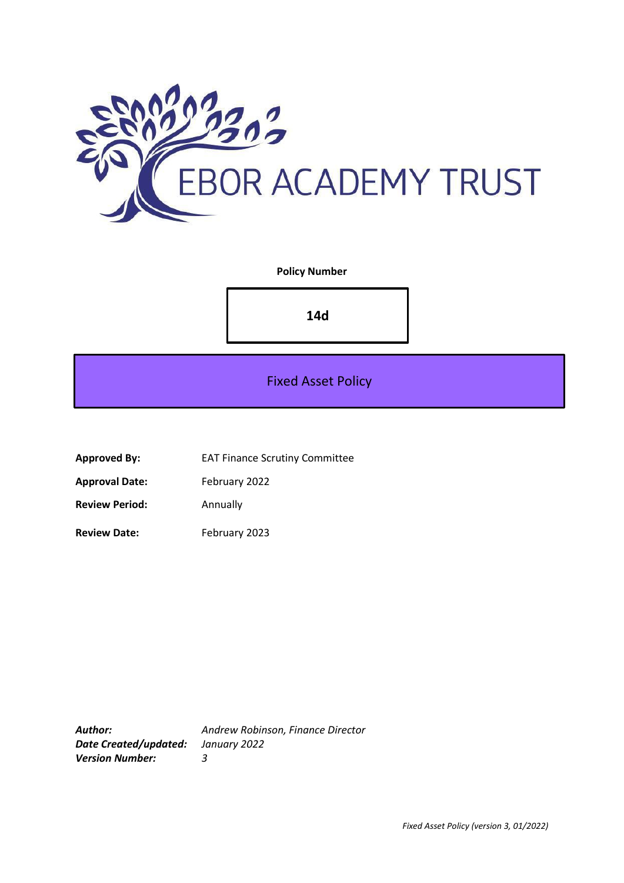

## **Policy Number**

**14d**

Fixed Asset Policy

**Approved By:** EAT Finance Scrutiny Committee

Approval Date: February 2022

**Review Period:** Annually

**Review Date:** February 2023

*Author: Andrew Robinson, Finance Director Date Created/updated: January 2022 Version Number: 3*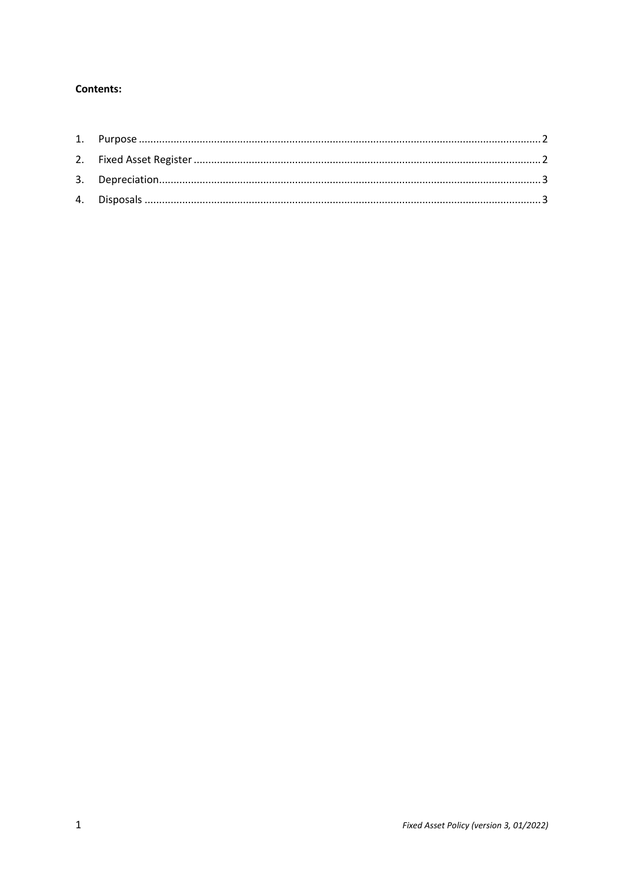# Contents: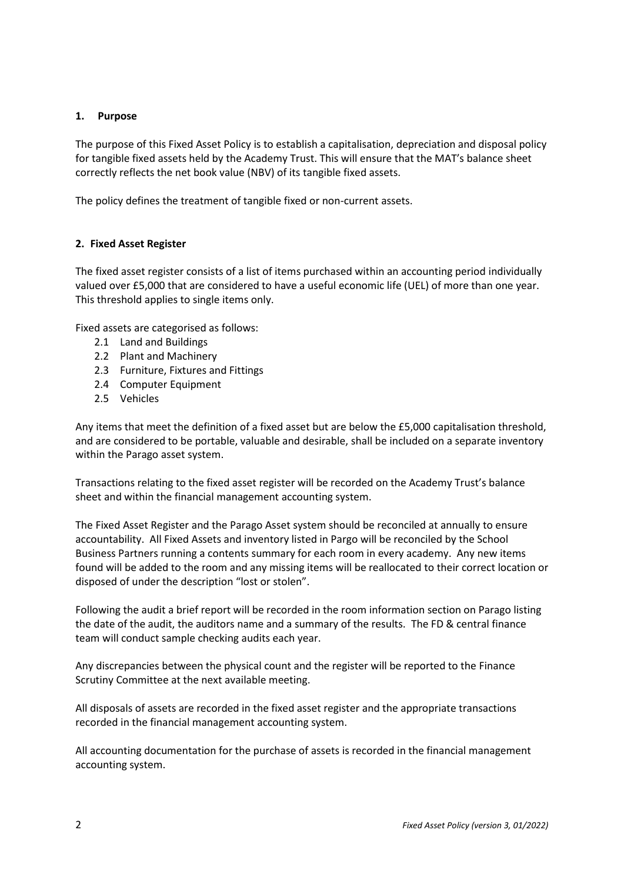### <span id="page-2-0"></span>**1. Purpose**

The purpose of this Fixed Asset Policy is to establish a capitalisation, depreciation and disposal policy for tangible fixed assets held by the Academy Trust. This will ensure that the MAT's balance sheet correctly reflects the net book value (NBV) of its tangible fixed assets.

The policy defines the treatment of tangible fixed or non-current assets.

### <span id="page-2-1"></span>**2. Fixed Asset Register**

The fixed asset register consists of a list of items purchased within an accounting period individually valued over £5,000 that are considered to have a useful economic life (UEL) of more than one year. This threshold applies to single items only.

Fixed assets are categorised as follows:

- 2.1 Land and Buildings
- 2.2 Plant and Machinery
- 2.3 Furniture, Fixtures and Fittings
- 2.4 Computer Equipment
- 2.5 Vehicles

Any items that meet the definition of a fixed asset but are below the £5,000 capitalisation threshold, and are considered to be portable, valuable and desirable, shall be included on a separate inventory within the Parago asset system.

Transactions relating to the fixed asset register will be recorded on the Academy Trust's balance sheet and within the financial management accounting system.

The Fixed Asset Register and the Parago Asset system should be reconciled at annually to ensure accountability. All Fixed Assets and inventory listed in Pargo will be reconciled by the School Business Partners running a contents summary for each room in every academy. Any new items found will be added to the room and any missing items will be reallocated to their correct location or disposed of under the description "lost or stolen".

Following the audit a brief report will be recorded in the room information section on Parago listing the date of the audit, the auditors name and a summary of the results. The FD & central finance team will conduct sample checking audits each year.

Any discrepancies between the physical count and the register will be reported to the Finance Scrutiny Committee at the next available meeting.

All disposals of assets are recorded in the fixed asset register and the appropriate transactions recorded in the financial management accounting system.

All accounting documentation for the purchase of assets is recorded in the financial management accounting system.